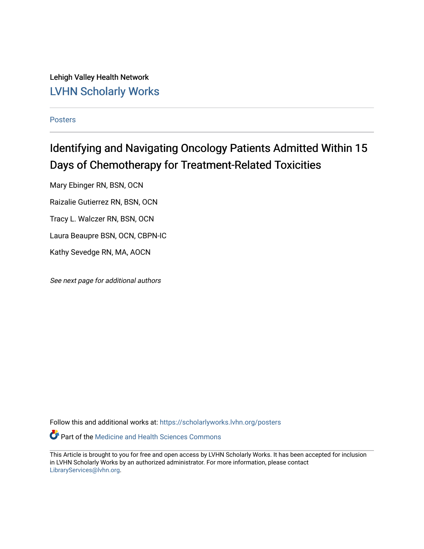Lehigh Valley Health Network [LVHN Scholarly Works](https://scholarlyworks.lvhn.org/)

[Posters](https://scholarlyworks.lvhn.org/posters) 

#### Identifying and Navigating Oncology Patients Admitted Within 15 Days of Chemotherapy for Treatment-Related Toxicities

Mary Ebinger RN, BSN, OCN

Raizalie Gutierrez RN, BSN, OCN

Tracy L. Walczer RN, BSN, OCN

Laura Beaupre BSN, OCN, CBPN-IC

Kathy Sevedge RN, MA, AOCN

See next page for additional authors

Follow this and additional works at: [https://scholarlyworks.lvhn.org/posters](https://scholarlyworks.lvhn.org/posters?utm_source=scholarlyworks.lvhn.org%2Fposters%2F33&utm_medium=PDF&utm_campaign=PDFCoverPages) 

Part of the [Medicine and Health Sciences Commons](http://network.bepress.com/hgg/discipline/648?utm_source=scholarlyworks.lvhn.org%2Fposters%2F33&utm_medium=PDF&utm_campaign=PDFCoverPages) 

This Article is brought to you for free and open access by LVHN Scholarly Works. It has been accepted for inclusion in LVHN Scholarly Works by an authorized administrator. For more information, please contact [LibraryServices@lvhn.org](mailto:LibraryServices@lvhn.org).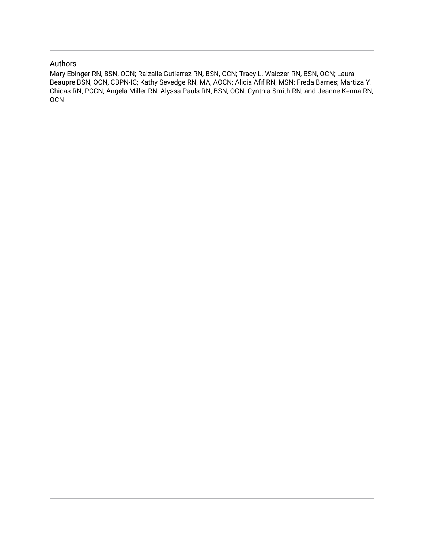#### Authors

Mary Ebinger RN, BSN, OCN; Raizalie Gutierrez RN, BSN, OCN; Tracy L. Walczer RN, BSN, OCN; Laura Beaupre BSN, OCN, CBPN-IC; Kathy Sevedge RN, MA, AOCN; Alicia Afif RN, MSN; Freda Barnes; Martiza Y. Chicas RN, PCCN; Angela Miller RN; Alyssa Pauls RN, BSN, OCN; Cynthia Smith RN; and Jeanne Kenna RN, OCN